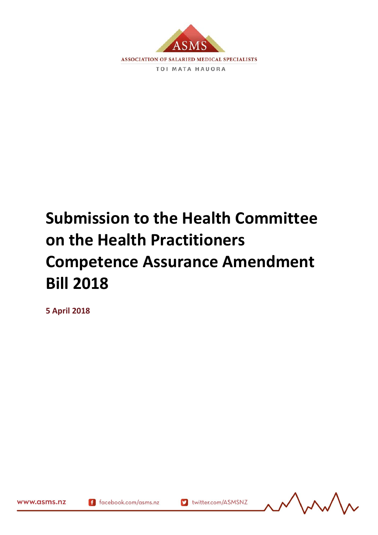

# **Submission to the Health Committee on the Health Practitioners Competence Assurance Amendment Bill 2018**

**5 April 2018**



www.asms.nz

169688.2

f facebook.com/asms.nz

v twitter.com/ASMSNZ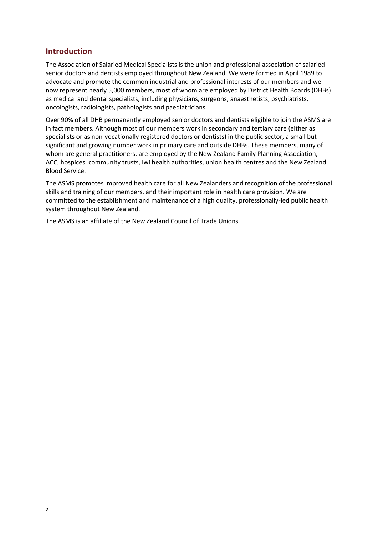## **Introduction**

The Association of Salaried Medical Specialists is the union and professional association of salaried senior doctors and dentists employed throughout New Zealand. We were formed in April 1989 to advocate and promote the common industrial and professional interests of our members and we now represent nearly 5,000 members, most of whom are employed by District Health Boards (DHBs) as medical and dental specialists, including physicians, surgeons, anaesthetists, psychiatrists, oncologists, radiologists, pathologists and paediatricians.

Over 90% of all DHB permanently employed senior doctors and dentists eligible to join the ASMS are in fact members. Although most of our members work in secondary and tertiary care (either as specialists or as non-vocationally registered doctors or dentists) in the public sector, a small but significant and growing number work in primary care and outside DHBs. These members, many of whom are general practitioners, are employed by the New Zealand Family Planning Association, ACC, hospices, community trusts, Iwi health authorities, union health centres and the New Zealand Blood Service.

The ASMS promotes improved health care for all New Zealanders and recognition of the professional skills and training of our members, and their important role in health care provision. We are committed to the establishment and maintenance of a high quality, professionally-led public health system throughout New Zealand.

The ASMS is an affiliate of the New Zealand Council of Trade Unions.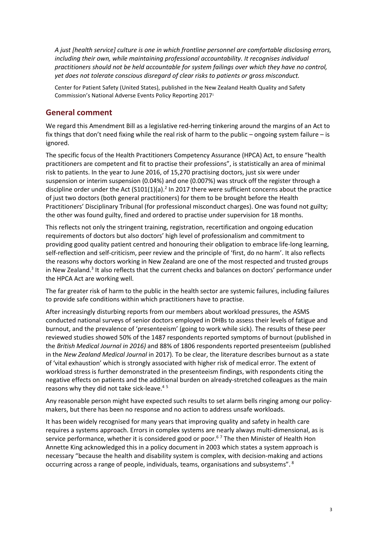*A just [health service] culture is one in which frontline personnel are comfortable disclosing errors, including their own, while maintaining professional accountability. It recognises individual practitioners should not be held accountable for system failings over which they have no control, yet does not tolerate conscious disregard of clear risks to patients or gross misconduct.*

Center for Patient Safety (United States), published in the New Zealand Health Quality and Safety Commission's National Adverse Events Policy Reporting 2017<sup>1</sup>

### **General comment**

We regard this Amendment Bill as a legislative red-herring tinkering around the margins of an Act to fix things that don't need fixing while the real risk of harm to the public – ongoing system failure – is ignored.

The specific focus of the Health Practitioners Competency Assurance (HPCA) Act, to ensure "health practitioners are competent and fit to practise their professions", is statistically an area of minimal risk to patients. In the year to June 2016, of 15,270 practising doctors, just six were under suspension or interim suspension (0.04%) and one (0.007%) was struck off the register through a discipline order under the Act (S101(1)(a).<sup>2</sup> In 2017 there were sufficient concerns about the practice of just two doctors (both general practitioners) for them to be brought before the Health Practitioners' Disciplinary Tribunal (for professional misconduct charges). One was found not guilty; the other was found guilty, fined and ordered to practise under supervision for 18 months.

This reflects not only the stringent training, registration, recertification and ongoing education requirements of doctors but also doctors' high level of professionalism and commitment to providing good quality patient centred and honouring their obligation to embrace life-long learning, self-reflection and self-criticism, peer review and the principle of 'first, do no harm'. It also reflects the reasons why doctors working in New Zealand are one of the most respected and trusted groups in New Zealand.<sup>3</sup> It also reflects that the current checks and balances on doctors' performance under the HPCA Act are working well.

The far greater risk of harm to the public in the health sector are systemic failures, including failures to provide safe conditions within which practitioners have to practise.

After increasingly disturbing reports from our members about workload pressures, the ASMS conducted national surveys of senior doctors employed in DHBs to assess their levels of fatigue and burnout, and the prevalence of 'presenteeism' (going to work while sick). The results of these peer reviewed studies showed 50% of the 1487 respondents reported symptoms of burnout (published in the *British Medical Journal in 2016)* and 88% of 1806 respondents reported presenteeism (published in the *New Zealand Medical Journal* in 2017)*.* To be clear, the literature describes burnout as a state of 'vital exhaustion' which is strongly associated with higher risk of medical error. The extent of workload stress is further demonstrated in the presenteeism findings, with respondents citing the negative effects on patients and the additional burden on already-stretched colleagues as the main reasons why they did not take sick-leave.<sup>45</sup>

Any reasonable person might have expected such results to set alarm bells ringing among our policymakers, but there has been no response and no action to address unsafe workloads.

It has been widely recognised for many years that improving quality and safety in health care requires a systems approach. Errors in complex systems are nearly always multi-dimensional, as is service performance, whether it is considered good or poor.<sup>67</sup> The then Minister of Health Hon Annette King acknowledged this in a policy document in 2003 which states a system approach is necessary "because the health and disability system is complex, with decision-making and actions occurring across a range of people, individuals, teams, organisations and subsystems". <sup>8</sup>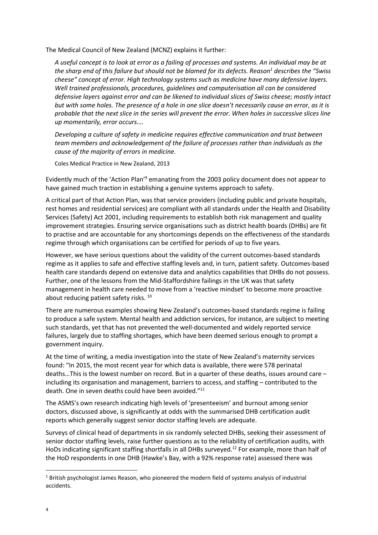The Medical Council of New Zealand (MCNZ) explains it further:

*A useful concept is to look at error as a failing of processes and systems. An individual may be at the sharp end of this failure but should not be blamed for its defects. Reason<sup>1</sup> describes the "Swiss cheese" concept of error. High technology systems such as medicine have many defensive layers. Well trained professionals, procedures, guidelines and computerisation all can be considered defensive layers against error and can be likened to individual slices of Swiss cheese; mostly intact but with some holes. The presence of a hole in one slice doesn't necessarily cause an error, as it is probable that the next slice in the series will prevent the error. When holes in successive slices line up momentarily, error occurs….*

*Developing a culture of safety in medicine requires effective communication and trust between team members and acknowledgement of the failure of processes rather than individuals as the cause of the majority of errors in medicine.*

Coles Medical Practice in New Zealand, 2013

Evidently much of the 'Action Plan'<sup>9</sup> emanating from the 2003 policy document does not appear to have gained much traction in establishing a genuine systems approach to safety.

A critical part of that Action Plan, was that service providers (including public and private hospitals, rest homes and residential services) are compliant with all standards under the Health and Disability Services (Safety) Act 2001, including requirements to establish both risk management and quality improvement strategies. Ensuring service organisations such as district health boards (DHBs) are fit to practise and are accountable for any shortcomings depends on the effectiveness of the standards regime through which organisations can be certified for periods of up to five years.

However, we have serious questions about the validity of the current outcomes-based standards regime as it applies to safe and effective staffing levels and, in turn, patient safety. Outcomes-based health care standards depend on extensive data and analytics capabilities that DHBs do not possess. Further, one of the lessons from the Mid-Staffordshire failings in the UK was that safety management in health care needed to move from a 'reactive mindset' to become more proactive about reducing patient safety risks.<sup>10</sup>

There are numerous examples showing New Zealand's outcomes-based standards regime is failing to produce a safe system. Mental health and addiction services, for instance, are subject to meeting such standards, yet that has not prevented the well-documented and widely reported service failures, largely due to staffing shortages, which have been deemed serious enough to prompt a government inquiry.

At the time of writing, a media investigation into the state of New Zealand's maternity services found: "In 2015, the most recent year for which data is available, there were 578 perinatal deaths…This is the lowest number on record. But in a quarter of these deaths, issues around care – including its organisation and management, barriers to access, and staffing – contributed to the death. One in seven deaths could have been avoided."<sup>11</sup>

The ASMS's own research indicating high levels of 'presenteeism' and burnout among senior doctors, discussed above, is significantly at odds with the summarised DHB certification audit reports which generally suggest senior doctor staffing levels are adequate.

Surveys of clinical head of departments in six randomly selected DHBs, seeking their assessment of senior doctor staffing levels, raise further questions as to the reliability of certification audits, with HoDs indicating significant staffing shortfalls in all DHBs surveyed.<sup>12</sup> For example, more than half of the HoD respondents in one DHB (Hawke's Bay, with a 92% response rate) assessed there was

 $\overline{\phantom{a}}$ 

 $1$  British psychologist James Reason, who pioneered the modern field of systems analysis of industrial accidents.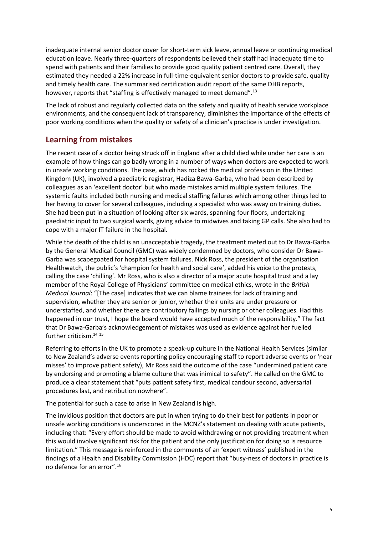inadequate internal senior doctor cover for short-term sick leave, annual leave or continuing medical education leave. Nearly three-quarters of respondents believed their staff had inadequate time to spend with patients and their families to provide good quality patient centred care. Overall, they estimated they needed a 22% increase in full-time-equivalent senior doctors to provide safe, quality and timely health care. The summarised certification audit report of the same DHB reports, however, reports that "staffing is effectively managed to meet demand".<sup>13</sup>

The lack of robust and regularly collected data on the safety and quality of health service workplace environments, and the consequent lack of transparency, diminishes the importance of the effects of poor working conditions when the quality or safety of a clinician's practice is under investigation.

# **Learning from mistakes**

The recent case of a doctor being struck off in England after a child died while under her care is an example of how things can go badly wrong in a number of ways when doctors are expected to work in unsafe working conditions. The case, which has rocked the medical profession in the United Kingdom (UK), involved a paediatric registrar, Hadiza Bawa-Garba, who had been described by colleagues as an 'excellent doctor' but who made mistakes amid multiple system failures. The systemic faults included both nursing and medical staffing failures which among other things led to her having to cover for several colleagues, including a specialist who was away on training duties. She had been put in a situation of looking after six wards, spanning four floors, undertaking paediatric input to two surgical wards, giving advice to midwives and taking GP calls. She also had to cope with a major IT failure in the hospital.

While the death of the child is an unacceptable tragedy, the treatment meted out to Dr Bawa-Garba by the General Medical Council (GMC) was widely condemned by doctors, who consider Dr Bawa-Garba was scapegoated for hospital system failures. Nick Ross, the president of the organisation Healthwatch, the public's 'champion for health and social care', added his voice to the protests, calling the case 'chilling'. Mr Ross, who is also a director of a major acute hospital trust and a lay member of the Royal College of Physicians' committee on medical ethics, wrote in the *British Medical Journal*: "[The case] indicates that we can blame trainees for lack of training and supervision, whether they are senior or junior, whether their units are under pressure or understaffed, and whether there are contributory failings by nursing or other colleagues. Had this happened in our trust, I hope the board would have accepted much of the responsibility." The fact that Dr Bawa-Garba's acknowledgement of mistakes was used as evidence against her fuelled further criticism.<sup>14</sup> <sup>15</sup>

Referring to efforts in the UK to promote a speak-up culture in the National Health Services (similar to New Zealand's adverse events reporting policy encouraging staff to report adverse events or 'near misses' to improve patient safety), Mr Ross said the outcome of the case "undermined patient care by endorsing and promoting a blame culture that was inimical to safety". He called on the GMC to produce a clear statement that "puts patient safety first, medical candour second, adversarial procedures last, and retribution nowhere".

The potential for such a case to arise in New Zealand is high.

The invidious position that doctors are put in when trying to do their best for patients in poor or unsafe working conditions is underscored in the MCNZ's statement on dealing with acute patients, including that: "Every effort should be made to avoid withdrawing or not providing treatment when this would involve significant risk for the patient and the only justification for doing so is resource limitation." This message is reinforced in the comments of an 'expert witness' published in the findings of a Health and Disability Commission (HDC) report that "busy-ness of doctors in practice is no defence for an error".16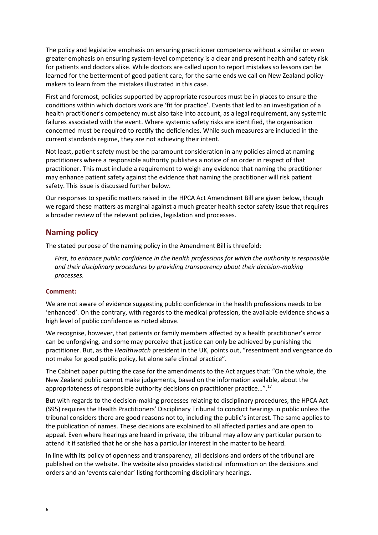The policy and legislative emphasis on ensuring practitioner competency without a similar or even greater emphasis on ensuring system-level competency is a clear and present health and safety risk for patients and doctors alike. While doctors are called upon to report mistakes so lessons can be learned for the betterment of good patient care, for the same ends we call on New Zealand policymakers to learn from the mistakes illustrated in this case.

First and foremost, policies supported by appropriate resources must be in places to ensure the conditions within which doctors work are 'fit for practice'. Events that led to an investigation of a health practitioner's competency must also take into account, as a legal requirement, any systemic failures associated with the event. Where systemic safety risks are identified, the organisation concerned must be required to rectify the deficiencies. While such measures are included in the current standards regime, they are not achieving their intent.

Not least, patient safety must be the paramount consideration in any policies aimed at naming practitioners where a responsible authority publishes a notice of an order in respect of that practitioner. This must include a requirement to weigh any evidence that naming the practitioner may enhance patient safety against the evidence that naming the practitioner will risk patient safety. This issue is discussed further below.

Our responses to specific matters raised in the HPCA Act Amendment Bill are given below, though we regard these matters as marginal against a much greater health sector safety issue that requires a broader review of the relevant policies, legislation and processes.

## **Naming policy**

The stated purpose of the naming policy in the Amendment Bill is threefold:

*First, to enhance public confidence in the health professions for which the authority is responsible and their disciplinary procedures by providing transparency about their decision-making processes.*

#### **Comment:**

We are not aware of evidence suggesting public confidence in the health professions needs to be 'enhanced'. On the contrary, with regards to the medical profession, the available evidence shows a high level of public confidence as noted above.

We recognise, however, that patients or family members affected by a health practitioner's error can be unforgiving, and some may perceive that justice can only be achieved by punishing the practitioner. But, as the *Healthwatch* president in the UK, points out, "resentment and vengeance do not make for good public policy, let alone safe clinical practice".

The Cabinet paper putting the case for the amendments to the Act argues that: "On the whole, the New Zealand public cannot make judgements, based on the information available, about the appropriateness of responsible authority decisions on practitioner practice…".<sup>17</sup>

But with regards to the decision-making processes relating to disciplinary procedures, the HPCA Act (S95) requires the Health Practitioners' Disciplinary Tribunal to conduct hearings in public unless the tribunal considers there are good reasons not to, including the public's interest. The same applies to the publication of names. These decisions are explained to all affected parties and are open to appeal. Even where hearings are heard in private, the tribunal may allow any particular person to attend it if satisfied that he or she has a particular interest in the matter to be heard.

In line with its policy of openness and transparency, all decisions and orders of the tribunal are published on the website. The website also provides statistical information on the decisions and orders and an 'events calendar' listing forthcoming disciplinary hearings.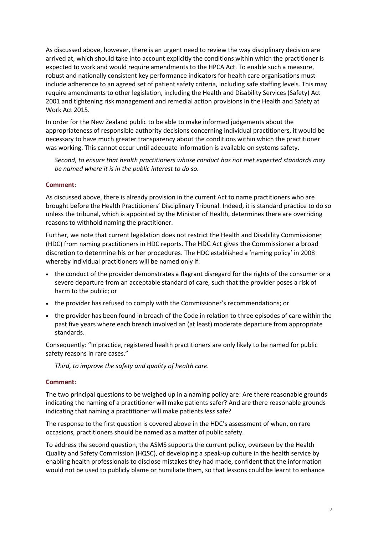As discussed above, however, there is an urgent need to review the way disciplinary decision are arrived at, which should take into account explicitly the conditions within which the practitioner is expected to work and would require amendments to the HPCA Act. To enable such a measure, robust and nationally consistent key performance indicators for health care organisations must include adherence to an agreed set of patient safety criteria, including safe staffing levels. This may require amendments to other legislation, including the Health and Disability Services (Safety) Act 2001 and tightening risk management and remedial action provisions in the Health and Safety at Work Act 2015.

In order for the New Zealand public to be able to make informed judgements about the appropriateness of responsible authority decisions concerning individual practitioners, it would be necessary to have much greater transparency about the conditions within which the practitioner was working. This cannot occur until adequate information is available on systems safety.

*Second, to ensure that health practitioners whose conduct has not met expected standards may be named where it is in the public interest to do so.*

#### **Comment:**

As discussed above, there is already provision in the current Act to name practitioners who are brought before the Health Practitioners' Disciplinary Tribunal. Indeed, it is standard practice to do so unless the tribunal, which is appointed by the Minister of Health, determines there are overriding reasons to withhold naming the practitioner.

Further, we note that current legislation does not restrict the Health and Disability Commissioner (HDC) from naming practitioners in HDC reports. The HDC Act gives the Commissioner a broad discretion to determine his or her procedures. The HDC established a 'naming policy' in 2008 whereby individual practitioners will be named only if:

- the conduct of the provider demonstrates a flagrant disregard for the rights of the consumer or a severe departure from an acceptable standard of care, such that the provider poses a risk of harm to the public; or
- the provider has refused to comply with the Commissioner's recommendations; or
- the provider has been found in breach of the Code in relation to three episodes of care within the past five years where each breach involved an (at least) moderate departure from appropriate standards.

Consequently: "In practice, registered health practitioners are only likely to be named for public safety reasons in rare cases."

*Third, to improve the safety and quality of health care.*

#### **Comment:**

The two principal questions to be weighed up in a naming policy are: Are there reasonable grounds indicating the naming of a practitioner will make patients safer? And are there reasonable grounds indicating that naming a practitioner will make patients *less* safe?

The response to the first question is covered above in the HDC's assessment of when, on rare occasions, practitioners should be named as a matter of public safety.

To address the second question, the ASMS supports the current policy, overseen by the Health Quality and Safety Commission (HQSC), of developing a speak-up culture in the health service by enabling health professionals to disclose mistakes they had made, confident that the information would not be used to publicly blame or humiliate them, so that lessons could be learnt to enhance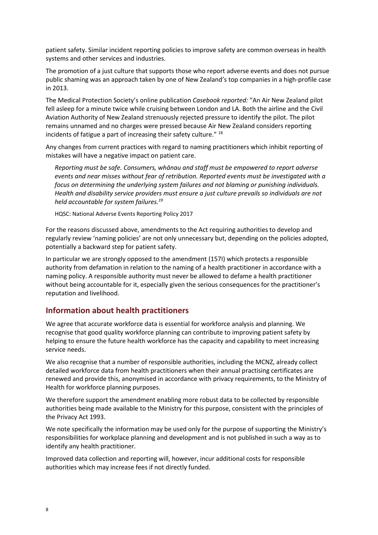patient safety. Similar incident reporting policies to improve safety are common overseas in health systems and other services and industries.

The promotion of a just culture that supports those who report adverse events and does not pursue public shaming was an approach taken by one of New Zealand's top companies in a high-profile case in 2013.

The Medical Protection Society's online publication *Casebook reported:* "An Air New Zealand pilot fell asleep for a minute twice while cruising between London and LA. Both the airline and the Civil Aviation Authority of New Zealand strenuously rejected pressure to identify the pilot. The pilot remains unnamed and no charges were pressed because Air New Zealand considers reporting incidents of fatigue a part of increasing their safety culture." <sup>18</sup>

Any changes from current practices with regard to naming practitioners which inhibit reporting of mistakes will have a negative impact on patient care.

*Reporting must be safe. Consumers, whānau and staff must be empowered to report adverse events and near misses without fear of retribution. Reported events must be investigated with a focus on determining the underlying system failures and not blaming or punishing individuals. Health and disability service providers must ensure a just culture prevails so individuals are not held accountable for system failures.<sup>19</sup>*

HQSC: National Adverse Events Reporting Policy 2017

For the reasons discussed above, amendments to the Act requiring authorities to develop and regularly review 'naming policies' are not only unnecessary but, depending on the policies adopted, potentially a backward step for patient safety.

In particular we are strongly opposed to the amendment (157I) which protects a responsible authority from defamation in relation to the naming of a health practitioner in accordance with a naming policy. A responsible authority must never be allowed to defame a health practitioner without being accountable for it, especially given the serious consequences for the practitioner's reputation and livelihood.

## **Information about health practitioners**

We agree that accurate workforce data is essential for workforce analysis and planning. We recognise that good quality workforce planning can contribute to improving patient safety by helping to ensure the future health workforce has the capacity and capability to meet increasing service needs.

We also recognise that a number of responsible authorities, including the MCNZ, already collect detailed workforce data from health practitioners when their annual practising certificates are renewed and provide this, anonymised in accordance with privacy requirements, to the Ministry of Health for workforce planning purposes.

We therefore support the amendment enabling more robust data to be collected by responsible authorities being made available to the Ministry for this purpose, consistent with the principles of the Privacy Act 1993.

We note specifically the information may be used only for the purpose of supporting the Ministry's responsibilities for workplace planning and development and is not published in such a way as to identify any health practitioner.

Improved data collection and reporting will, however, incur additional costs for responsible authorities which may increase fees if not directly funded.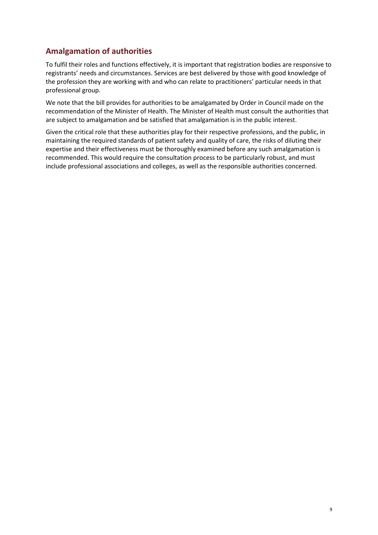# **Amalgamation of authorities**

To fulfil their roles and functions effectively, it is important that registration bodies are responsive to registrants' needs and circumstances. Services are best delivered by those with good knowledge of the profession they are working with and who can relate to practitioners' particular needs in that professional group.

We note that the bill provides for authorities to be amalgamated by Order in Council made on the recommendation of the Minister of Health. The Minister of Health must consult the authorities that are subject to amalgamation and be satisfied that amalgamation is in the public interest.

Given the critical role that these authorities play for their respective professions, and the public, in maintaining the required standards of patient safety and quality of care, the risks of diluting their expertise and their effectiveness must be thoroughly examined before any such amalgamation is recommended. This would require the consultation process to be particularly robust, and must include professional associations and colleges, as well as the responsible authorities concerned.